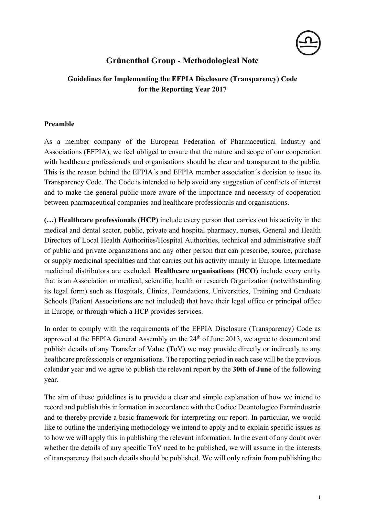

# **Grünenthal Group - Methodological Note**

## **Guidelines for Implementing the EFPIA Disclosure (Transparency) Code for the Reporting Year 2017**

## **Preamble**

As a member company of the European Federation of Pharmaceutical Industry and Associations (EFPIA), we feel obliged to ensure that the nature and scope of our cooperation with healthcare professionals and organisations should be clear and transparent to the public. This is the reason behind the EFPIA´s and EFPIA member association´s decision to issue its Transparency Code. The Code is intended to help avoid any suggestion of conflicts of interest and to make the general public more aware of the importance and necessity of cooperation between pharmaceutical companies and healthcare professionals and organisations.

**(…) Healthcare professionals (HCP)** include every person that carries out his activity in the medical and dental sector, public, private and hospital pharmacy, nurses, General and Health Directors of Local Health Authorities/Hospital Authorities, technical and administrative staff of public and private organizations and any other person that can prescribe, source, purchase or supply medicinal specialties and that carries out his activity mainly in Europe. Intermediate medicinal distributors are excluded. **Healthcare organisations (HCO)** include every entity that is an Association or medical, scientific, health or research Organization (notwithstanding its legal form) such as Hospitals, Clinics, Foundations, Universities, Training and Graduate Schools (Patient Associations are not included) that have their legal office or principal office in Europe, or through which a HCP provides services.

In order to comply with the requirements of the EFPIA Disclosure (Transparency) Code as approved at the EFPIA General Assembly on the  $24<sup>th</sup>$  of June 2013, we agree to document and publish details of any Transfer of Value (ToV) we may provide directly or indirectly to any healthcare professionals or organisations. The reporting period in each case will be the previous calendar year and we agree to publish the relevant report by the **30th of June** of the following year.

The aim of these guidelines is to provide a clear and simple explanation of how we intend to record and publish this information in accordance with the Codice Deontologico Farmindustria and to thereby provide a basic framework for interpreting our report. In particular, we would like to outline the underlying methodology we intend to apply and to explain specific issues as to how we will apply this in publishing the relevant information. In the event of any doubt over whether the details of any specific ToV need to be published, we will assume in the interests of transparency that such details should be published. We will only refrain from publishing the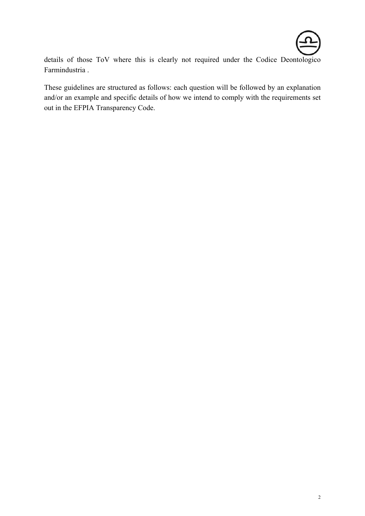

details of those ToV where this is clearly not required under the Codice Deontologico Farmindustria .

These guidelines are structured as follows: each question will be followed by an explanation and/or an example and specific details of how we intend to comply with the requirements set out in the EFPIA Transparency Code.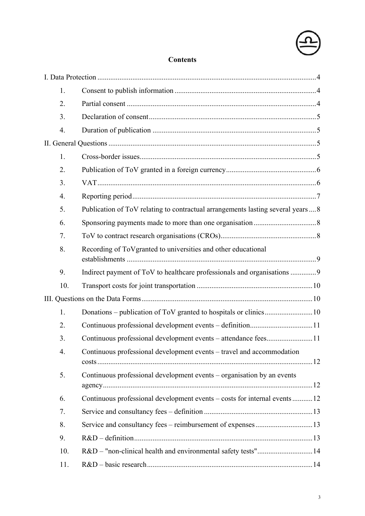

# **Contents**

| 1.  |                                                                                |  |
|-----|--------------------------------------------------------------------------------|--|
| 2.  |                                                                                |  |
| 3.  |                                                                                |  |
| 4.  |                                                                                |  |
|     |                                                                                |  |
| 1.  |                                                                                |  |
| 2.  |                                                                                |  |
| 3.  |                                                                                |  |
| 4.  |                                                                                |  |
| 5.  | Publication of ToV relating to contractual arrangements lasting several years8 |  |
| 6.  |                                                                                |  |
| 7.  |                                                                                |  |
| 8.  | Recording of ToVgranted to universities and other educational                  |  |
| 9.  | Indirect payment of ToV to healthcare professionals and organisations 9        |  |
| 10. |                                                                                |  |
|     |                                                                                |  |
| 1.  |                                                                                |  |
| 2.  |                                                                                |  |
| 3.  | Continuous professional development events – attendance fees11                 |  |
| 4.  | Continuous professional development events – travel and accommodation          |  |
| 5.  | Continuous professional development events – organisation by an events         |  |
| 6.  | Continuous professional development events – costs for internal events 12      |  |
| 7.  |                                                                                |  |
| 8.  | Service and consultancy fees - reimbursement of expenses13                     |  |
| 9.  |                                                                                |  |
| 10. | R&D - "non-clinical health and environmental safety tests"14                   |  |
| 11. |                                                                                |  |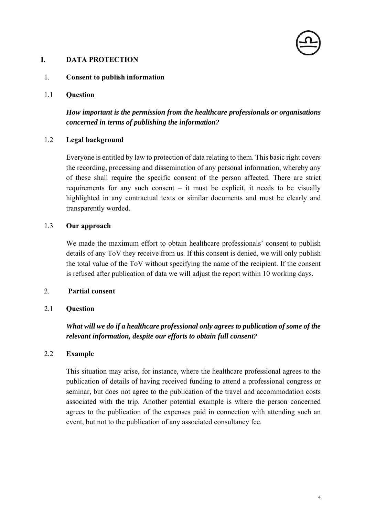## **I. DATA PROTECTION**

#### 1. **Consent to publish information**

1.1 **Question** 

## *How important is the permission from the healthcare professionals or organisations concerned in terms of publishing the information?*

#### 1.2 **Legal background**

Everyone is entitled by law to protection of data relating to them. This basic right covers the recording, processing and dissemination of any personal information, whereby any of these shall require the specific consent of the person affected. There are strict requirements for any such consent  $-$  it must be explicit, it needs to be visually highlighted in any contractual texts or similar documents and must be clearly and transparently worded.

#### 1.3 **Our approach**

We made the maximum effort to obtain healthcare professionals' consent to publish details of any ToV they receive from us. If this consent is denied, we will only publish the total value of the ToV without specifying the name of the recipient. If the consent is refused after publication of data we will adjust the report within 10 working days.

#### 2. **Partial consent**

#### 2.1 **Question**

## *What will we do if a healthcare professional only agrees to publication of some of the relevant information, despite our efforts to obtain full consent?*

#### 2.2 **Example**

This situation may arise, for instance, where the healthcare professional agrees to the publication of details of having received funding to attend a professional congress or seminar, but does not agree to the publication of the travel and accommodation costs associated with the trip. Another potential example is where the person concerned agrees to the publication of the expenses paid in connection with attending such an event, but not to the publication of any associated consultancy fee.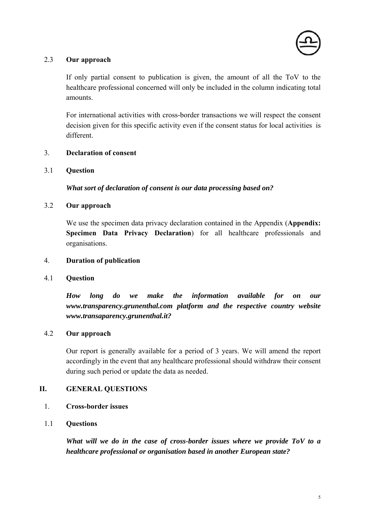

## 2.3 **Our approach**

If only partial consent to publication is given, the amount of all the ToV to the healthcare professional concerned will only be included in the column indicating total amounts.

For international activities with cross-border transactions we will respect the consent decision given for this specific activity even if the consent status for local activities is different.

## 3. **Declaration of consent**

#### 3.1 **Question**

*What sort of declaration of consent is our data processing based on?* 

## 3.2 **Our approach**

We use the specimen data privacy declaration contained in the Appendix (**Appendix: Specimen Data Privacy Declaration**) for all healthcare professionals and organisations.

## 4. **Duration of publication**

## 4.1 **Question**

*How long do we make the information available for on our www.transparency.grunenthal.com platform and the respective country website www.transaparency.grunenthal.it?* 

## 4.2 **Our approach**

Our report is generally available for a period of 3 years. We will amend the report accordingly in the event that any healthcare professional should withdraw their consent during such period or update the data as needed.

## **II. GENERAL QUESTIONS**

## 1. **Cross-border issues**

## 1.1 **Questions**

*What will we do in the case of cross-border issues where we provide ToV to a healthcare professional or organisation based in another European state?*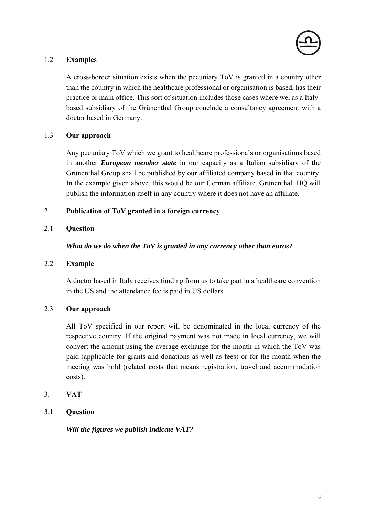

## 1.2 **Examples**

A cross-border situation exists when the pecuniary ToV is granted in a country other than the country in which the healthcare professional or organisation is based, has their practice or main office. This sort of situation includes those cases where we, as a Italybased subsidiary of the Grünenthal Group conclude a consultancy agreement with a doctor based in Germany.

## 1.3 **Our approach**

Any pecuniary ToV which we grant to healthcare professionals or organisations based in another *European member state* in our capacity as a Italian subsidiary of the Grünenthal Group shall be published by our affiliated company based in that country. In the example given above, this would be our German affiliate. Grünenthal HQ will publish the information itself in any country where it does not have an affiliate.

## 2. **Publication of ToV granted in a foreign currency**

## 2.1 **Question**

*What do we do when the ToV is granted in any currency other than euros?* 

## 2.2 **Example**

A doctor based in Italy receives funding from us to take part in a healthcare convention in the US and the attendance fee is paid in US dollars.

## 2.3 **Our approach**

All ToV specified in our report will be denominated in the local currency of the respective country. If the original payment was not made in local currency, we will convert the amount using the average exchange for the month in which the ToV was paid (applicable for grants and donations as well as fees) or for the month when the meeting was hold (related costs that means registration, travel and accommodation costs).

## 3. **VAT**

## 3.1 **Question**

*Will the figures we publish indicate VAT?*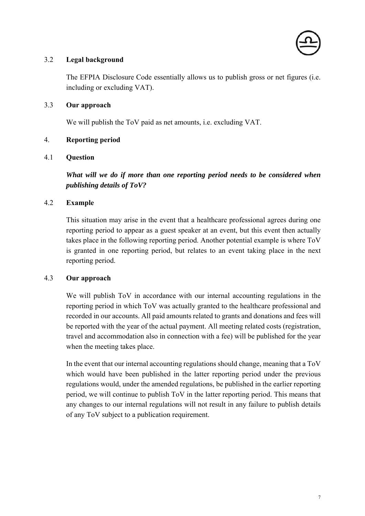

## 3.2 **Legal background**

The EFPIA Disclosure Code essentially allows us to publish gross or net figures (i.e. including or excluding VAT).

## 3.3 **Our approach**

We will publish the ToV paid as net amounts, i.e. excluding VAT.

## 4. **Reporting period**

#### 4.1 **Question**

*What will we do if more than one reporting period needs to be considered when publishing details of ToV?* 

#### 4.2 **Example**

This situation may arise in the event that a healthcare professional agrees during one reporting period to appear as a guest speaker at an event, but this event then actually takes place in the following reporting period. Another potential example is where ToV is granted in one reporting period, but relates to an event taking place in the next reporting period.

#### 4.3 **Our approach**

We will publish ToV in accordance with our internal accounting regulations in the reporting period in which ToV was actually granted to the healthcare professional and recorded in our accounts. All paid amounts related to grants and donations and fees will be reported with the year of the actual payment. All meeting related costs (registration, travel and accommodation also in connection with a fee) will be published for the year when the meeting takes place.

In the event that our internal accounting regulations should change, meaning that a ToV which would have been published in the latter reporting period under the previous regulations would, under the amended regulations, be published in the earlier reporting period, we will continue to publish ToV in the latter reporting period. This means that any changes to our internal regulations will not result in any failure to publish details of any ToV subject to a publication requirement.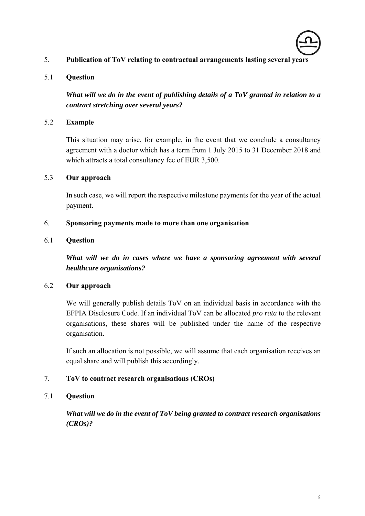

## 5. **Publication of ToV relating to contractual arrangements lasting several years**

## 5.1 **Question**

*What will we do in the event of publishing details of a ToV granted in relation to a contract stretching over several years?* 

## 5.2 **Example**

This situation may arise, for example, in the event that we conclude a consultancy agreement with a doctor which has a term from 1 July 2015 to 31 December 2018 and which attracts a total consultancy fee of EUR 3,500.

## 5.3 **Our approach**

In such case, we will report the respective milestone payments for the year of the actual payment.

#### 6. **Sponsoring payments made to more than one organisation**

#### 6.1 **Question**

*What will we do in cases where we have a sponsoring agreement with several healthcare organisations?* 

## 6.2 **Our approach**

We will generally publish details ToV on an individual basis in accordance with the EFPIA Disclosure Code. If an individual ToV can be allocated *pro rata* to the relevant organisations, these shares will be published under the name of the respective organisation.

If such an allocation is not possible, we will assume that each organisation receives an equal share and will publish this accordingly.

## 7. **ToV to contract research organisations (CROs)**

## 7.1 **Question**

*What will we do in the event of ToV being granted to contract research organisations (CROs)?*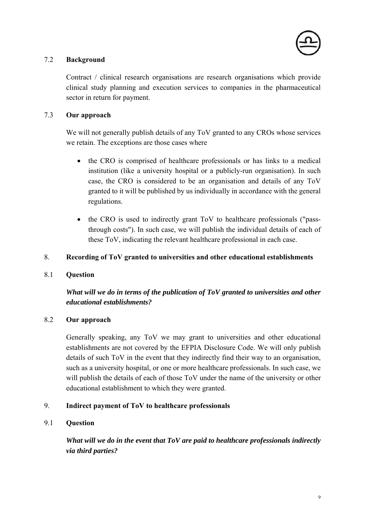

## 7.2 **Background**

Contract / clinical research organisations are research organisations which provide clinical study planning and execution services to companies in the pharmaceutical sector in return for payment.

## 7.3 **Our approach**

We will not generally publish details of any ToV granted to any CROs whose services we retain. The exceptions are those cases where

- the CRO is comprised of healthcare professionals or has links to a medical institution (like a university hospital or a publicly-run organisation). In such case, the CRO is considered to be an organisation and details of any ToV granted to it will be published by us individually in accordance with the general regulations.
- the CRO is used to indirectly grant ToV to healthcare professionals ("passthrough costs"). In such case, we will publish the individual details of each of these ToV, indicating the relevant healthcare professional in each case.

## 8. **Recording of ToV granted to universities and other educational establishments**

## 8.1 **Question**

## *What will we do in terms of the publication of ToV granted to universities and other educational establishments?*

## 8.2 **Our approach**

Generally speaking, any ToV we may grant to universities and other educational establishments are not covered by the EFPIA Disclosure Code. We will only publish details of such ToV in the event that they indirectly find their way to an organisation, such as a university hospital, or one or more healthcare professionals. In such case, we will publish the details of each of those ToV under the name of the university or other educational establishment to which they were granted.

## 9. **Indirect payment of ToV to healthcare professionals**

## 9.1 **Question**

*What will we do in the event that ToV are paid to healthcare professionals indirectly via third parties?*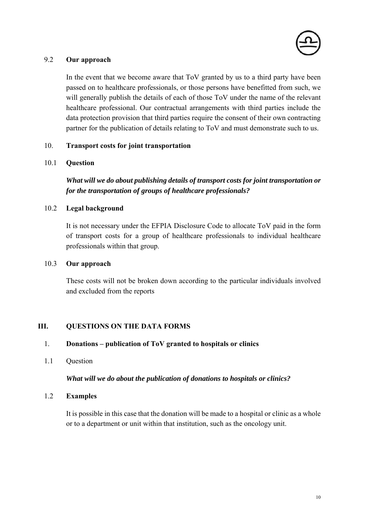

## 9.2 **Our approach**

In the event that we become aware that ToV granted by us to a third party have been passed on to healthcare professionals, or those persons have benefitted from such, we will generally publish the details of each of those ToV under the name of the relevant healthcare professional. Our contractual arrangements with third parties include the data protection provision that third parties require the consent of their own contracting partner for the publication of details relating to ToV and must demonstrate such to us.

#### 10. **Transport costs for joint transportation**

#### 10.1 **Question**

*What will we do about publishing details of transport costs for joint transportation or for the transportation of groups of healthcare professionals?* 

#### 10.2 **Legal background**

It is not necessary under the EFPIA Disclosure Code to allocate ToV paid in the form of transport costs for a group of healthcare professionals to individual healthcare professionals within that group.

#### 10.3 **Our approach**

These costs will not be broken down according to the particular individuals involved and excluded from the reports

## **III. QUESTIONS ON THE DATA FORMS**

#### 1. **Donations – publication of ToV granted to hospitals or clinics**

1.1 Question

#### *What will we do about the publication of donations to hospitals or clinics?*

#### 1.2 **Examples**

It is possible in this case that the donation will be made to a hospital or clinic as a whole or to a department or unit within that institution, such as the oncology unit.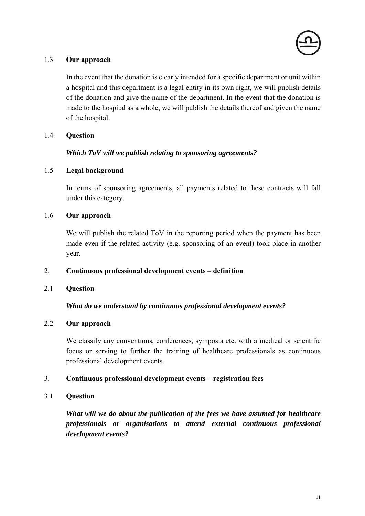

## 1.3 **Our approach**

In the event that the donation is clearly intended for a specific department or unit within a hospital and this department is a legal entity in its own right, we will publish details of the donation and give the name of the department. In the event that the donation is made to the hospital as a whole, we will publish the details thereof and given the name of the hospital.

## 1.4 **Question**

## *Which ToV will we publish relating to sponsoring agreements?*

## 1.5 **Legal background**

In terms of sponsoring agreements, all payments related to these contracts will fall under this category.

#### 1.6 **Our approach**

We will publish the related ToV in the reporting period when the payment has been made even if the related activity (e.g. sponsoring of an event) took place in another year.

## 2. **Continuous professional development events – definition**

## 2.1 **Question**

## *What do we understand by continuous professional development events?*

## 2.2 **Our approach**

We classify any conventions, conferences, symposia etc. with a medical or scientific focus or serving to further the training of healthcare professionals as continuous professional development events.

## 3. **Continuous professional development events – registration fees**

## 3.1 **Question**

*What will we do about the publication of the fees we have assumed for healthcare professionals or organisations to attend external continuous professional development events?*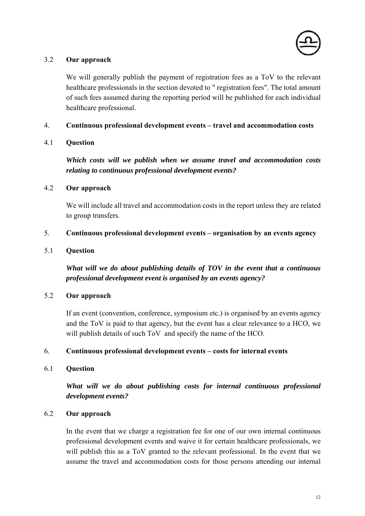

## 3.2 **Our approach**

We will generally publish the payment of registration fees as a ToV to the relevant healthcare professionals in the section devoted to " registration fees". The total amount of such fees assumed during the reporting period will be published for each individual healthcare professional.

## 4. **Continuous professional development events – travel and accommodation costs**

#### 4.1 **Question**

*Which costs will we publish when we assume travel and accommodation costs relating to continuous professional development events?* 

#### 4.2 **Our approach**

We will include all travel and accommodation costs in the report unless they are related to group transfers.

#### 5. **Continuous professional development events – organisation by an events agency**

#### 5.1 **Question**

*What will we do about publishing details of TOV in the event that a continuous professional development event is organised by an events agency?* 

## 5.2 **Our approach**

If an event (convention, conference, symposium etc.) is organised by an events agency and the ToV is paid to that agency, but the event has a clear relevance to a HCO, we will publish details of such ToV and specify the name of the HCO.

#### 6. **Continuous professional development events – costs for internal events**

#### 6.1 **Question**

*What will we do about publishing costs for internal continuous professional development events?* 

## 6.2 **Our approach**

In the event that we charge a registration fee for one of our own internal continuous professional development events and waive it for certain healthcare professionals, we will publish this as a ToV granted to the relevant professional. In the event that we assume the travel and accommodation costs for those persons attending our internal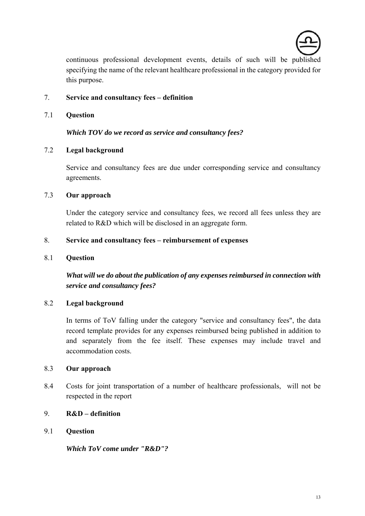

continuous professional development events, details of such will be published specifying the name of the relevant healthcare professional in the category provided for this purpose.

## 7. **Service and consultancy fees – definition**

7.1 **Question** 

*Which TOV do we record as service and consultancy fees?* 

## 7.2 **Legal background**

Service and consultancy fees are due under corresponding service and consultancy agreements.

## 7.3 **Our approach**

Under the category service and consultancy fees, we record all fees unless they are related to R&D which will be disclosed in an aggregate form.

#### 8. **Service and consultancy fees – reimbursement of expenses**

#### 8.1 **Question**

*What will we do about the publication of any expenses reimbursed in connection with service and consultancy fees?* 

## 8.2 **Legal background**

In terms of ToV falling under the category "service and consultancy fees", the data record template provides for any expenses reimbursed being published in addition to and separately from the fee itself. These expenses may include travel and accommodation costs.

#### 8.3 **Our approach**

8.4 Costs for joint transportation of a number of healthcare professionals, will not be respected in the report

## 9. **R&D – definition**

## 9.1 **Question**

*Which ToV come under "R&D"?*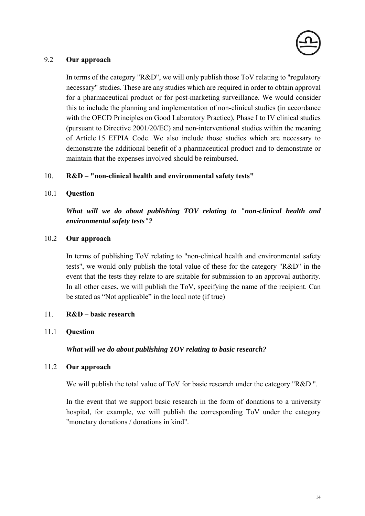

### 9.2 **Our approach**

In terms of the category "R&D", we will only publish those ToV relating to "regulatory" necessary" studies. These are any studies which are required in order to obtain approval for a pharmaceutical product or for post-marketing surveillance. We would consider this to include the planning and implementation of non-clinical studies (in accordance with the OECD Principles on Good Laboratory Practice), Phase I to IV clinical studies (pursuant to Directive 2001/20/EC) and non-interventional studies within the meaning of Article 15 EFPIA Code. We also include those studies which are necessary to demonstrate the additional benefit of a pharmaceutical product and to demonstrate or maintain that the expenses involved should be reimbursed.

#### 10. **R&D – "non-clinical health and environmental safety tests"**

#### 10.1 **Question**

*What will we do about publishing TOV relating to "non-clinical health and environmental safety tests"?* 

#### 10.2 **Our approach**

In terms of publishing ToV relating to "non-clinical health and environmental safety tests", we would only publish the total value of these for the category "R&D" in the event that the tests they relate to are suitable for submission to an approval authority. In all other cases, we will publish the ToV, specifying the name of the recipient. Can be stated as "Not applicable" in the local note (if true)

#### 11. **R&D – basic research**

#### 11.1 **Question**

#### *What will we do about publishing TOV relating to basic research?*

#### 11.2 **Our approach**

We will publish the total value of ToV for basic research under the category "R&D".

In the event that we support basic research in the form of donations to a university hospital, for example, we will publish the corresponding ToV under the category "monetary donations / donations in kind".